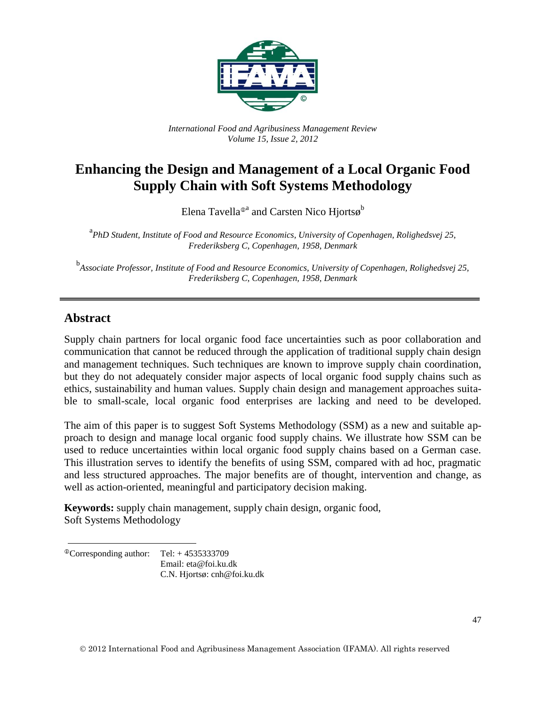

*International Food and Agribusiness Management Review Volume 15, Issue 2, 2012*

# **Enhancing the Design and Management of a Local Organic Food Supply Chain with Soft Systems Methodology**

Elena Tavella®ª and Carsten Nico Hjortsø $^{\rm b}$ 

<sup>a</sup> PhD Student, Institute of Food and Resource Economics, University of Copenhagen, Rolighedsvej 25, *Frederiksberg C, Copenhagen, 1958, Denmark*

b *Associate Professor, Institute of Food and Resource Economics, University of Copenhagen, Rolighedsvej 25, Frederiksberg C, Copenhagen, 1958, Denmark*

### **Abstract**

Supply chain partners for local organic food face uncertainties such as poor collaboration and communication that cannot be reduced through the application of traditional supply chain design and management techniques. Such techniques are known to improve supply chain coordination, but they do not adequately consider major aspects of local organic food supply chains such as ethics, sustainability and human values. Supply chain design and management approaches suitable to small-scale, local organic food enterprises are lacking and need to be developed.

The aim of this paper is to suggest Soft Systems Methodology (SSM) as a new and suitable approach to design and manage local organic food supply chains. We illustrate how SSM can be used to reduce uncertainties within local organic food supply chains based on a German case. This illustration serves to identify the benefits of using SSM, compared with ad hoc, pragmatic and less structured approaches. The major benefits are of thought, intervention and change, as well as action-oriented, meaningful and participatory decision making.

**Keywords:** supply chain management, supply chain design, organic food, Soft Systems Methodology

 $^{\circ}$ Corresponding author: Tel: + 4535333709 Email: eta@foi.ku.dk C.N. Hjortsø: cnh@foi.ku.dk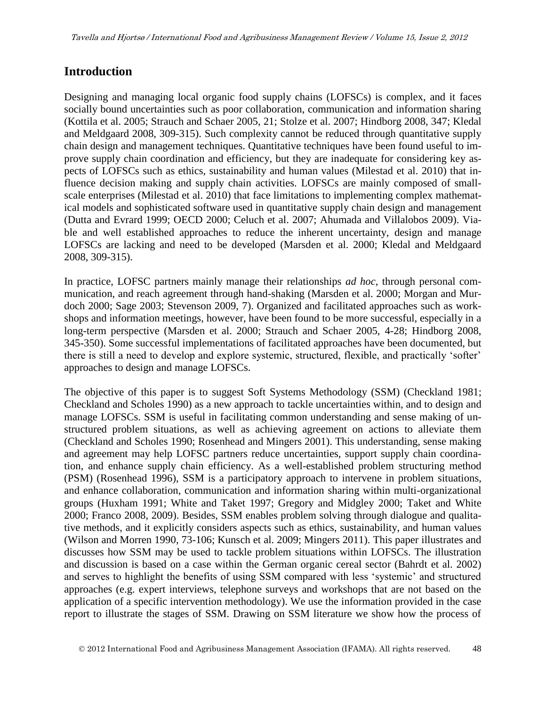### **Introduction**

Designing and managing local organic food supply chains (LOFSCs) is complex, and it faces socially bound uncertainties such as poor collaboration, communication and information sharing (Kottila et al. 2005; Strauch and Schaer 2005, 21; Stolze et al. 2007; Hindborg 2008, 347; Kledal and Meldgaard 2008, 309-315). Such complexity cannot be reduced through quantitative supply chain design and management techniques. Quantitative techniques have been found useful to improve supply chain coordination and efficiency, but they are inadequate for considering key aspects of LOFSCs such as ethics, sustainability and human values (Milestad et al. 2010) that influence decision making and supply chain activities. LOFSCs are mainly composed of smallscale enterprises (Milestad et al. 2010) that face limitations to implementing complex mathematical models and sophisticated software used in quantitative supply chain design and management (Dutta and Evrard 1999; OECD 2000; Celuch et al. 2007; Ahumada and Villalobos 2009). Viable and well established approaches to reduce the inherent uncertainty, design and manage LOFSCs are lacking and need to be developed (Marsden et al. 2000; Kledal and Meldgaard 2008, 309-315).

In practice, LOFSC partners mainly manage their relationships *ad hoc*, through personal communication, and reach agreement through hand-shaking (Marsden et al. 2000; Morgan and Murdoch 2000; Sage 2003; Stevenson 2009, 7). Organized and facilitated approaches such as workshops and information meetings, however, have been found to be more successful, especially in a long-term perspective (Marsden et al. 2000; Strauch and Schaer 2005, 4-28; Hindborg 2008, 345-350). Some successful implementations of facilitated approaches have been documented, but there is still a need to develop and explore systemic, structured, flexible, and practically 'softer' approaches to design and manage LOFSCs.

The objective of this paper is to suggest Soft Systems Methodology (SSM) (Checkland 1981; Checkland and Scholes 1990) as a new approach to tackle uncertainties within, and to design and manage LOFSCs. SSM is useful in facilitating common understanding and sense making of unstructured problem situations, as well as achieving agreement on actions to alleviate them (Checkland and Scholes 1990; Rosenhead and Mingers 2001). This understanding, sense making and agreement may help LOFSC partners reduce uncertainties, support supply chain coordination, and enhance supply chain efficiency. As a well-established problem structuring method (PSM) (Rosenhead 1996), SSM is a participatory approach to intervene in problem situations, and enhance collaboration, communication and information sharing within multi-organizational groups (Huxham 1991; White and Taket 1997; Gregory and Midgley 2000; Taket and White 2000; Franco 2008, 2009). Besides, SSM enables problem solving through dialogue and qualitative methods, and it explicitly considers aspects such as ethics, sustainability, and human values (Wilson and Morren 1990, 73-106; Kunsch et al. 2009; Mingers 2011). This paper illustrates and discusses how SSM may be used to tackle problem situations within LOFSCs. The illustration and discussion is based on a case within the German organic cereal sector (Bahrdt et al. 2002) and serves to highlight the benefits of using SSM compared with less 'systemic' and structured approaches (e.g. expert interviews, telephone surveys and workshops that are not based on the application of a specific intervention methodology). We use the information provided in the case report to illustrate the stages of SSM. Drawing on SSM literature we show how the process of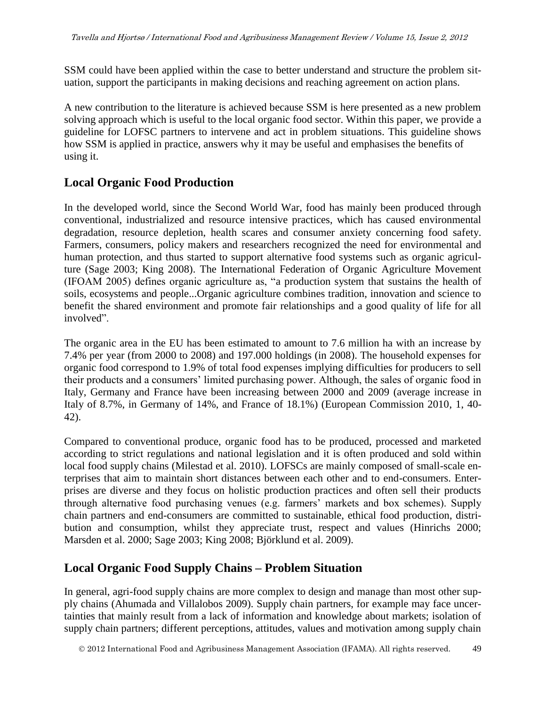SSM could have been applied within the case to better understand and structure the problem situation, support the participants in making decisions and reaching agreement on action plans.

A new contribution to the literature is achieved because SSM is here presented as a new problem solving approach which is useful to the local organic food sector. Within this paper, we provide a guideline for LOFSC partners to intervene and act in problem situations. This guideline shows how SSM is applied in practice, answers why it may be useful and emphasises the benefits of using it.

### **Local Organic Food Production**

In the developed world, since the Second World War, food has mainly been produced through conventional, industrialized and resource intensive practices, which has caused environmental degradation, resource depletion, health scares and consumer anxiety concerning food safety. Farmers, consumers, policy makers and researchers recognized the need for environmental and human protection, and thus started to support alternative food systems such as organic agriculture (Sage 2003; King 2008). The International Federation of Organic Agriculture Movement (IFOAM 2005) defines organic agriculture as, "a production system that sustains the health of soils, ecosystems and people...Organic agriculture combines tradition, innovation and science to benefit the shared environment and promote fair relationships and a good quality of life for all involved".

The organic area in the EU has been estimated to amount to 7.6 million ha with an increase by 7.4% per year (from 2000 to 2008) and 197.000 holdings (in 2008). The household expenses for organic food correspond to 1.9% of total food expenses implying difficulties for producers to sell their products and a consumers' limited purchasing power. Although, the sales of organic food in Italy, Germany and France have been increasing between 2000 and 2009 (average increase in Italy of 8.7%, in Germany of 14%, and France of 18.1%) (European Commission 2010, 1, 40- 42).

Compared to conventional produce, organic food has to be produced, processed and marketed according to strict regulations and national legislation and it is often produced and sold within local food supply chains (Milestad et al. 2010). LOFSCs are mainly composed of small-scale enterprises that aim to maintain short distances between each other and to end-consumers. Enterprises are diverse and they focus on holistic production practices and often sell their products through alternative food purchasing venues (e.g. farmers' markets and box schemes). Supply chain partners and end-consumers are committed to sustainable, ethical food production, distribution and consumption, whilst they appreciate trust, respect and values (Hinrichs 2000; Marsden et al. 2000; Sage 2003; King 2008; Björklund et al. 2009).

### **Local Organic Food Supply Chains – Problem Situation**

In general, agri-food supply chains are more complex to design and manage than most other supply chains (Ahumada and Villalobos 2009). Supply chain partners, for example may face uncertainties that mainly result from a lack of information and knowledge about markets; isolation of supply chain partners; different perceptions, attitudes, values and motivation among supply chain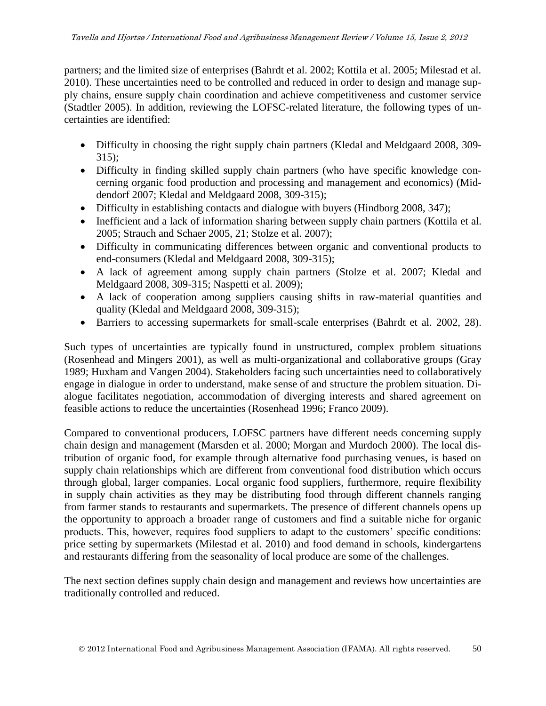partners; and the limited size of enterprises (Bahrdt et al. 2002; Kottila et al. 2005; Milestad et al. 2010). These uncertainties need to be controlled and reduced in order to design and manage supply chains, ensure supply chain coordination and achieve competitiveness and customer service (Stadtler 2005). In addition, reviewing the LOFSC-related literature, the following types of uncertainties are identified:

- Difficulty in choosing the right supply chain partners (Kledal and Meldgaard 2008, 309- 315);
- Difficulty in finding skilled supply chain partners (who have specific knowledge concerning organic food production and processing and management and economics) (Middendorf 2007; Kledal and Meldgaard 2008, 309-315);
- Difficulty in establishing contacts and dialogue with buyers (Hindborg 2008, 347);
- Inefficient and a lack of information sharing between supply chain partners (Kottila et al. 2005; Strauch and Schaer 2005, 21; Stolze et al. 2007);
- Difficulty in communicating differences between organic and conventional products to end-consumers (Kledal and Meldgaard 2008, 309-315);
- A lack of agreement among supply chain partners (Stolze et al. 2007; Kledal and Meldgaard 2008, 309-315; Naspetti et al. 2009);
- A lack of cooperation among suppliers causing shifts in raw-material quantities and quality (Kledal and Meldgaard 2008, 309-315);
- Barriers to accessing supermarkets for small-scale enterprises (Bahrdt et al. 2002, 28).

Such types of uncertainties are typically found in unstructured, complex problem situations (Rosenhead and Mingers 2001), as well as multi-organizational and collaborative groups (Gray 1989; Huxham and Vangen 2004). Stakeholders facing such uncertainties need to collaboratively engage in dialogue in order to understand, make sense of and structure the problem situation. Dialogue facilitates negotiation, accommodation of diverging interests and shared agreement on feasible actions to reduce the uncertainties (Rosenhead 1996; Franco 2009).

Compared to conventional producers, LOFSC partners have different needs concerning supply chain design and management (Marsden et al. 2000; Morgan and Murdoch 2000). The local distribution of organic food, for example through alternative food purchasing venues, is based on supply chain relationships which are different from conventional food distribution which occurs through global, larger companies. Local organic food suppliers, furthermore, require flexibility in supply chain activities as they may be distributing food through different channels ranging from farmer stands to restaurants and supermarkets. The presence of different channels opens up the opportunity to approach a broader range of customers and find a suitable niche for organic products. This, however, requires food suppliers to adapt to the customers' specific conditions: price setting by supermarkets (Milestad et al. 2010) and food demand in schools, kindergartens and restaurants differing from the seasonality of local produce are some of the challenges.

The next section defines supply chain design and management and reviews how uncertainties are traditionally controlled and reduced.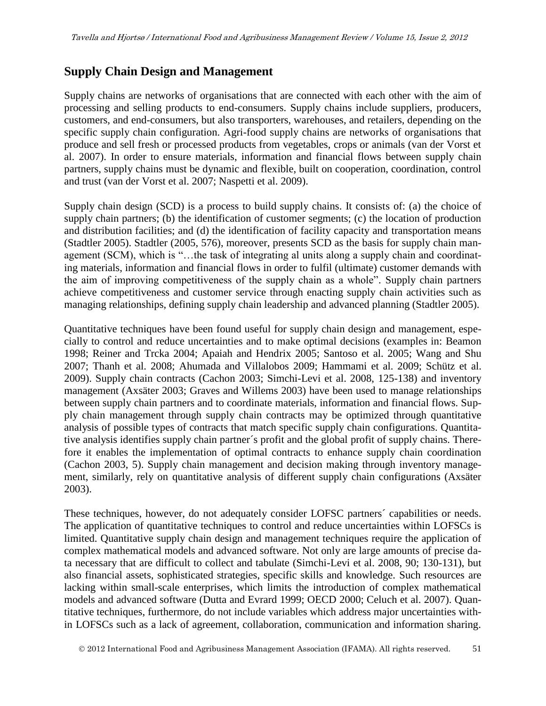### **Supply Chain Design and Management**

Supply chains are networks of organisations that are connected with each other with the aim of processing and selling products to end-consumers. Supply chains include suppliers, producers, customers, and end-consumers, but also transporters, warehouses, and retailers, depending on the specific supply chain configuration. Agri-food supply chains are networks of organisations that produce and sell fresh or processed products from vegetables, crops or animals (van der Vorst et al. 2007). In order to ensure materials, information and financial flows between supply chain partners, supply chains must be dynamic and flexible, built on cooperation, coordination, control and trust (van der Vorst et al. 2007; Naspetti et al. 2009).

Supply chain design (SCD) is a process to build supply chains. It consists of: (a) the choice of supply chain partners; (b) the identification of customer segments; (c) the location of production and distribution facilities; and (d) the identification of facility capacity and transportation means (Stadtler 2005). Stadtler (2005, 576), moreover, presents SCD as the basis for supply chain management (SCM), which is "…the task of integrating al units along a supply chain and coordinating materials, information and financial flows in order to fulfil (ultimate) customer demands with the aim of improving competitiveness of the supply chain as a whole". Supply chain partners achieve competitiveness and customer service through enacting supply chain activities such as managing relationships, defining supply chain leadership and advanced planning (Stadtler 2005).

Quantitative techniques have been found useful for supply chain design and management, especially to control and reduce uncertainties and to make optimal decisions (examples in: Beamon 1998; Reiner and Trcka 2004; Apaiah and Hendrix 2005; Santoso et al. 2005; Wang and Shu 2007; Thanh et al. 2008; Ahumada and Villalobos 2009; Hammami et al. 2009; Schütz et al. 2009). Supply chain contracts (Cachon 2003; Simchi-Levi et al. 2008, 125-138) and inventory management (Axsäter 2003; Graves and Willems 2003) have been used to manage relationships between supply chain partners and to coordinate materials, information and financial flows. Supply chain management through supply chain contracts may be optimized through quantitative analysis of possible types of contracts that match specific supply chain configurations. Quantitative analysis identifies supply chain partner´s profit and the global profit of supply chains. Therefore it enables the implementation of optimal contracts to enhance supply chain coordination (Cachon 2003, 5). Supply chain management and decision making through inventory management, similarly, rely on quantitative analysis of different supply chain configurations (Axsäter 2003).

These techniques, however, do not adequately consider LOFSC partners´ capabilities or needs. The application of quantitative techniques to control and reduce uncertainties within LOFSCs is limited. Quantitative supply chain design and management techniques require the application of complex mathematical models and advanced software. Not only are large amounts of precise data necessary that are difficult to collect and tabulate (Simchi-Levi et al. 2008, 90; 130-131), but also financial assets, sophisticated strategies, specific skills and knowledge. Such resources are lacking within small-scale enterprises, which limits the introduction of complex mathematical models and advanced software (Dutta and Evrard 1999; OECD 2000; Celuch et al. 2007). Quantitative techniques, furthermore, do not include variables which address major uncertainties within LOFSCs such as a lack of agreement, collaboration, communication and information sharing.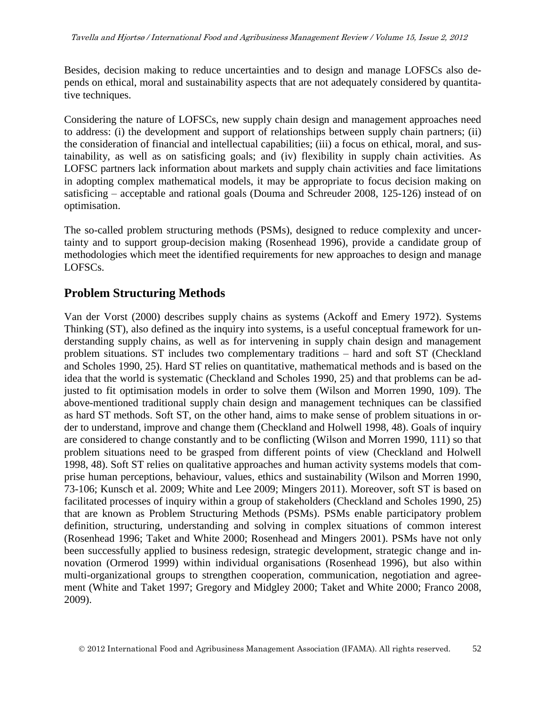Besides, decision making to reduce uncertainties and to design and manage LOFSCs also depends on ethical, moral and sustainability aspects that are not adequately considered by quantitative techniques.

Considering the nature of LOFSCs, new supply chain design and management approaches need to address: (i) the development and support of relationships between supply chain partners; (ii) the consideration of financial and intellectual capabilities; (iii) a focus on ethical, moral, and sustainability, as well as on satisficing goals; and (iv) flexibility in supply chain activities. As LOFSC partners lack information about markets and supply chain activities and face limitations in adopting complex mathematical models, it may be appropriate to focus decision making on satisficing – acceptable and rational goals (Douma and Schreuder 2008, 125-126) instead of on optimisation.

The so-called problem structuring methods (PSMs), designed to reduce complexity and uncertainty and to support group-decision making (Rosenhead 1996), provide a candidate group of methodologies which meet the identified requirements for new approaches to design and manage LOFSCs.

### **Problem Structuring Methods**

Van der Vorst (2000) describes supply chains as systems (Ackoff and Emery 1972). Systems Thinking (ST), also defined as the inquiry into systems, is a useful conceptual framework for understanding supply chains, as well as for intervening in supply chain design and management problem situations. ST includes two complementary traditions – hard and soft ST (Checkland and Scholes 1990, 25). Hard ST relies on quantitative, mathematical methods and is based on the idea that the world is systematic (Checkland and Scholes 1990, 25) and that problems can be adjusted to fit optimisation models in order to solve them (Wilson and Morren 1990, 109). The above-mentioned traditional supply chain design and management techniques can be classified as hard ST methods. Soft ST, on the other hand, aims to make sense of problem situations in order to understand, improve and change them (Checkland and Holwell 1998, 48). Goals of inquiry are considered to change constantly and to be conflicting (Wilson and Morren 1990, 111) so that problem situations need to be grasped from different points of view (Checkland and Holwell 1998, 48). Soft ST relies on qualitative approaches and human activity systems models that comprise human perceptions, behaviour, values, ethics and sustainability (Wilson and Morren 1990, 73-106; Kunsch et al. 2009; White and Lee 2009; Mingers 2011). Moreover, soft ST is based on facilitated processes of inquiry within a group of stakeholders (Checkland and Scholes 1990, 25) that are known as Problem Structuring Methods (PSMs). PSMs enable participatory problem definition, structuring, understanding and solving in complex situations of common interest (Rosenhead 1996; Taket and White 2000; Rosenhead and Mingers 2001). PSMs have not only been successfully applied to business redesign, strategic development, strategic change and innovation (Ormerod 1999) within individual organisations (Rosenhead 1996), but also within multi-organizational groups to strengthen cooperation, communication, negotiation and agreement (White and Taket 1997; Gregory and Midgley 2000; Taket and White 2000; Franco 2008, 2009).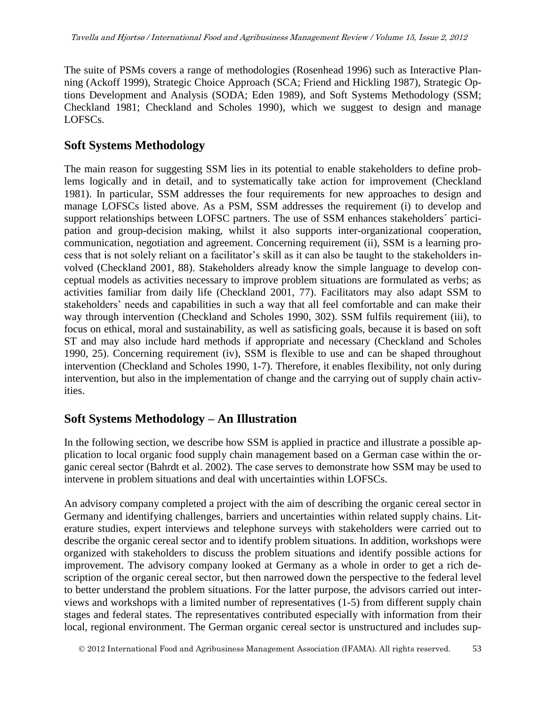The suite of PSMs covers a range of methodologies (Rosenhead 1996) such as Interactive Planning (Ackoff 1999), Strategic Choice Approach (SCA; Friend and Hickling 1987), Strategic Options Development and Analysis (SODA; Eden 1989), and Soft Systems Methodology (SSM; Checkland 1981; Checkland and Scholes 1990), which we suggest to design and manage LOFSCs.

### **Soft Systems Methodology**

The main reason for suggesting SSM lies in its potential to enable stakeholders to define problems logically and in detail, and to systematically take action for improvement (Checkland 1981). In particular, SSM addresses the four requirements for new approaches to design and manage LOFSCs listed above. As a PSM, SSM addresses the requirement (i) to develop and support relationships between LOFSC partners. The use of SSM enhances stakeholders' participation and group-decision making, whilst it also supports inter-organizational cooperation, communication, negotiation and agreement. Concerning requirement (ii), SSM is a learning process that is not solely reliant on a facilitator's skill as it can also be taught to the stakeholders involved (Checkland 2001, 88). Stakeholders already know the simple language to develop conceptual models as activities necessary to improve problem situations are formulated as verbs; as activities familiar from daily life (Checkland 2001, 77). Facilitators may also adapt SSM to stakeholders' needs and capabilities in such a way that all feel comfortable and can make their way through intervention (Checkland and Scholes 1990, 302). SSM fulfils requirement (iii), to focus on ethical, moral and sustainability, as well as satisficing goals, because it is based on soft ST and may also include hard methods if appropriate and necessary (Checkland and Scholes 1990, 25). Concerning requirement (iv), SSM is flexible to use and can be shaped throughout intervention (Checkland and Scholes 1990, 1-7). Therefore, it enables flexibility, not only during intervention, but also in the implementation of change and the carrying out of supply chain activities.

# **Soft Systems Methodology – An Illustration**

In the following section, we describe how SSM is applied in practice and illustrate a possible application to local organic food supply chain management based on a German case within the organic cereal sector (Bahrdt et al. 2002). The case serves to demonstrate how SSM may be used to intervene in problem situations and deal with uncertainties within LOFSCs.

An advisory company completed a project with the aim of describing the organic cereal sector in Germany and identifying challenges, barriers and uncertainties within related supply chains. Literature studies, expert interviews and telephone surveys with stakeholders were carried out to describe the organic cereal sector and to identify problem situations. In addition, workshops were organized with stakeholders to discuss the problem situations and identify possible actions for improvement. The advisory company looked at Germany as a whole in order to get a rich description of the organic cereal sector, but then narrowed down the perspective to the federal level to better understand the problem situations. For the latter purpose, the advisors carried out interviews and workshops with a limited number of representatives (1-5) from different supply chain stages and federal states. The representatives contributed especially with information from their local, regional environment. The German organic cereal sector is unstructured and includes sup-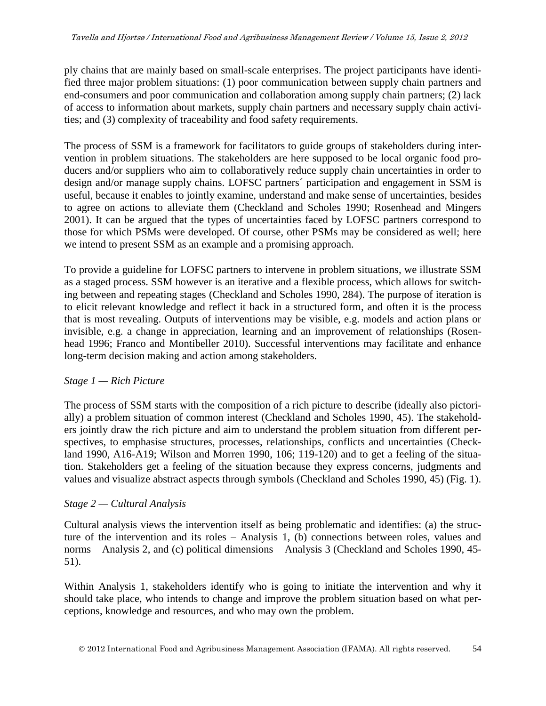ply chains that are mainly based on small-scale enterprises. The project participants have identified three major problem situations: (1) poor communication between supply chain partners and end-consumers and poor communication and collaboration among supply chain partners; (2) lack of access to information about markets, supply chain partners and necessary supply chain activities; and (3) complexity of traceability and food safety requirements.

The process of SSM is a framework for facilitators to guide groups of stakeholders during intervention in problem situations. The stakeholders are here supposed to be local organic food producers and/or suppliers who aim to collaboratively reduce supply chain uncertainties in order to design and/or manage supply chains. LOFSC partners´ participation and engagement in SSM is useful, because it enables to jointly examine, understand and make sense of uncertainties, besides to agree on actions to alleviate them (Checkland and Scholes 1990; Rosenhead and Mingers 2001). It can be argued that the types of uncertainties faced by LOFSC partners correspond to those for which PSMs were developed. Of course, other PSMs may be considered as well; here we intend to present SSM as an example and a promising approach.

To provide a guideline for LOFSC partners to intervene in problem situations, we illustrate SSM as a staged process. SSM however is an iterative and a flexible process, which allows for switching between and repeating stages (Checkland and Scholes 1990, 284). The purpose of iteration is to elicit relevant knowledge and reflect it back in a structured form, and often it is the process that is most revealing. Outputs of interventions may be visible, e.g. models and action plans or invisible, e.g. a change in appreciation, learning and an improvement of relationships (Rosenhead 1996; Franco and Montibeller 2010). Successful interventions may facilitate and enhance long-term decision making and action among stakeholders.

#### *Stage 1 — Rich Picture*

The process of SSM starts with the composition of a rich picture to describe (ideally also pictorially) a problem situation of common interest (Checkland and Scholes 1990, 45). The stakeholders jointly draw the rich picture and aim to understand the problem situation from different perspectives, to emphasise structures, processes, relationships, conflicts and uncertainties (Checkland 1990, A16-A19; Wilson and Morren 1990, 106; 119-120) and to get a feeling of the situation. Stakeholders get a feeling of the situation because they express concerns, judgments and values and visualize abstract aspects through symbols (Checkland and Scholes 1990, 45) (Fig. 1).

#### *Stage 2 — Cultural Analysis*

Cultural analysis views the intervention itself as being problematic and identifies: (a) the structure of the intervention and its roles – Analysis 1, (b) connections between roles, values and norms – Analysis 2, and (c) political dimensions – Analysis 3 (Checkland and Scholes 1990, 45- 51).

Within Analysis 1, stakeholders identify who is going to initiate the intervention and why it should take place, who intends to change and improve the problem situation based on what perceptions, knowledge and resources, and who may own the problem.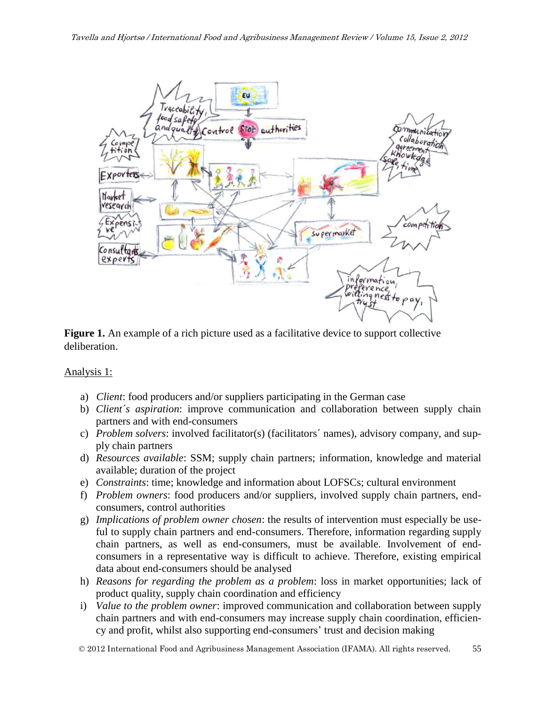

**Figure 1.** An example of a rich picture used as a facilitative device to support collective deliberation.

#### Analysis 1:

- a) *Client*: food producers and/or suppliers participating in the German case
- b) *Client´s aspiration*: improve communication and collaboration between supply chain partners and with end-consumers
- c) *Problem solvers*: involved facilitator(s) (facilitators´ names), advisory company, and supply chain partners
- d) *Resources available*: SSM; supply chain partners; information, knowledge and material available; duration of the project
- e) *Constraints*: time; knowledge and information about LOFSCs; cultural environment
- f) *Problem owners*: food producers and/or suppliers, involved supply chain partners, endconsumers, control authorities
- g) *Implications of problem owner chosen*: the results of intervention must especially be useful to supply chain partners and end-consumers. Therefore, information regarding supply chain partners, as well as end-consumers, must be available. Involvement of endconsumers in a representative way is difficult to achieve. Therefore, existing empirical data about end-consumers should be analysed
- h) *Reasons for regarding the problem as a problem*: loss in market opportunities; lack of product quality, supply chain coordination and efficiency
- i) *Value to the problem owner*: improved communication and collaboration between supply chain partners and with end-consumers may increase supply chain coordination, efficiency and profit, whilst also supporting end-consumers' trust and decision making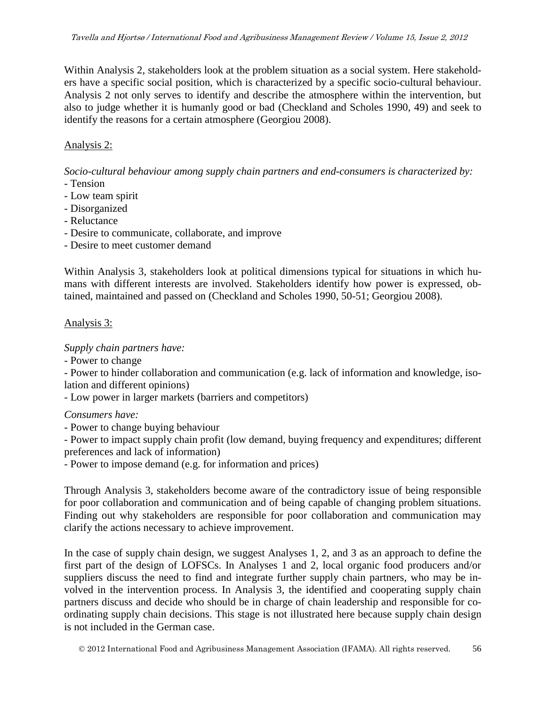Within Analysis 2, stakeholders look at the problem situation as a social system. Here stakeholders have a specific social position, which is characterized by a specific socio-cultural behaviour. Analysis 2 not only serves to identify and describe the atmosphere within the intervention, but also to judge whether it is humanly good or bad (Checkland and Scholes 1990, 49) and seek to identify the reasons for a certain atmosphere (Georgiou 2008).

#### Analysis 2:

*Socio-cultural behaviour among supply chain partners and end-consumers is characterized by:*

- Tension
- Low team spirit
- Disorganized
- Reluctance
- Desire to communicate, collaborate, and improve
- Desire to meet customer demand

Within Analysis 3, stakeholders look at political dimensions typical for situations in which humans with different interests are involved. Stakeholders identify how power is expressed, obtained, maintained and passed on (Checkland and Scholes 1990, 50-51; Georgiou 2008).

#### Analysis 3:

*Supply chain partners have:* 

- Power to change

- Power to hinder collaboration and communication (e.g. lack of information and knowledge, isolation and different opinions)

- Low power in larger markets (barriers and competitors)

*Consumers have:* 

- Power to change buying behaviour

- Power to impact supply chain profit (low demand, buying frequency and expenditures; different preferences and lack of information)

- Power to impose demand (e.g. for information and prices)

Through Analysis 3, stakeholders become aware of the contradictory issue of being responsible for poor collaboration and communication and of being capable of changing problem situations. Finding out why stakeholders are responsible for poor collaboration and communication may clarify the actions necessary to achieve improvement.

In the case of supply chain design, we suggest Analyses 1, 2, and 3 as an approach to define the first part of the design of LOFSCs. In Analyses 1 and 2, local organic food producers and/or suppliers discuss the need to find and integrate further supply chain partners, who may be involved in the intervention process. In Analysis 3, the identified and cooperating supply chain partners discuss and decide who should be in charge of chain leadership and responsible for coordinating supply chain decisions. This stage is not illustrated here because supply chain design is not included in the German case.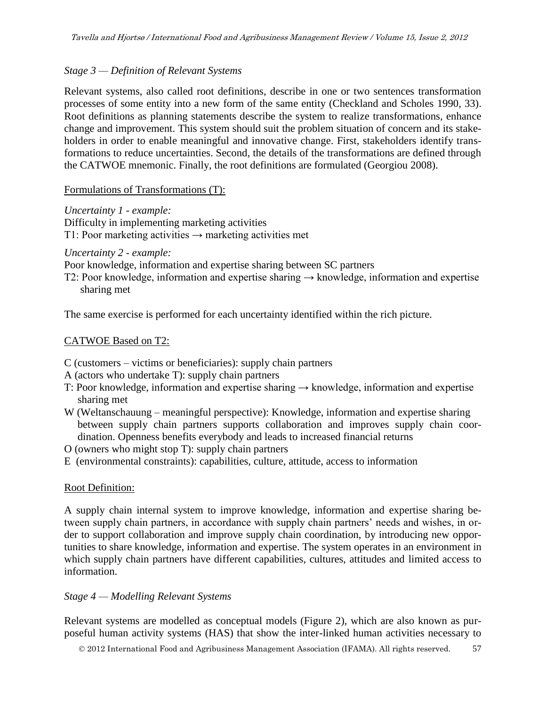#### *Stage 3 — Definition of Relevant Systems*

Relevant systems, also called root definitions, describe in one or two sentences transformation processes of some entity into a new form of the same entity (Checkland and Scholes 1990, 33). Root definitions as planning statements describe the system to realize transformations, enhance change and improvement. This system should suit the problem situation of concern and its stakeholders in order to enable meaningful and innovative change. First, stakeholders identify transformations to reduce uncertainties. Second, the details of the transformations are defined through the CATWOE mnemonic. Finally, the root definitions are formulated (Georgiou 2008).

#### Formulations of Transformations (T):

*Uncertainty 1 - example:* 

Difficulty in implementing marketing activities

T1: Poor marketing activities  $\rightarrow$  marketing activities met

#### *Uncertainty 2 - example:*

Poor knowledge, information and expertise sharing between SC partners

T2: Poor knowledge, information and expertise sharing  $\rightarrow$  knowledge, information and expertise sharing met

The same exercise is performed for each uncertainty identified within the rich picture.

#### CATWOE Based on T2:

- C (customers victims or beneficiaries): supply chain partners
- A (actors who undertake T): supply chain partners
- T: Poor knowledge, information and expertise sharing → knowledge, information and expertise sharing met
- W (Weltanschauung meaningful perspective): Knowledge, information and expertise sharing between supply chain partners supports collaboration and improves supply chain coordination. Openness benefits everybody and leads to increased financial returns
- O (owners who might stop T): supply chain partners
- E (environmental constraints): capabilities, culture, attitude, access to information

#### Root Definition:

A supply chain internal system to improve knowledge, information and expertise sharing between supply chain partners, in accordance with supply chain partners' needs and wishes, in order to support collaboration and improve supply chain coordination, by introducing new opportunities to share knowledge, information and expertise. The system operates in an environment in which supply chain partners have different capabilities, cultures, attitudes and limited access to information.

#### *Stage 4 — Modelling Relevant Systems*

Relevant systems are modelled as conceptual models (Figure 2), which are also known as purposeful human activity systems (HAS) that show the inter-linked human activities necessary to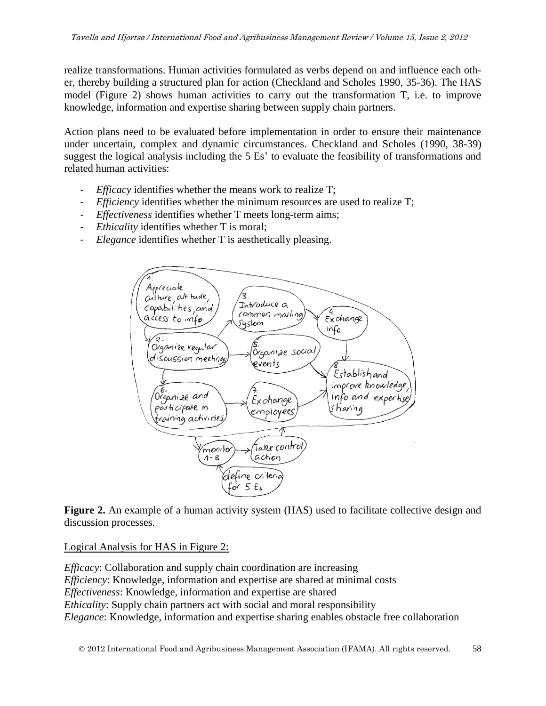realize transformations. Human activities formulated as verbs depend on and influence each other, thereby building a structured plan for action (Checkland and Scholes 1990, 35-36). The HAS model (Figure 2) shows human activities to carry out the transformation T, i.e. to improve knowledge, information and expertise sharing between supply chain partners.

Action plans need to be evaluated before implementation in order to ensure their maintenance under uncertain, complex and dynamic circumstances. Checkland and Scholes (1990, 38-39) suggest the logical analysis including the 5 Es' to evaluate the feasibility of transformations and related human activities:

- *Efficacy* identifies whether the means work to realize T;
- *Efficiency* identifies whether the minimum resources are used to realize T;
- *Effectiveness* identifies whether T meets long-term aims;
- *Ethicality* identifies whether T is moral;
- *Elegance* identifies whether T is aesthetically pleasing.



Figure 2. An example of a human activity system (HAS) used to facilitate collective design and discussion processes.

Logical Analysis for HAS in Figure 2:

*Efficacy*: Collaboration and supply chain coordination are increasing *Efficiency*: Knowledge, information and expertise are shared at minimal costs *Effectiveness*: Knowledge, information and expertise are shared *Ethicality*: Supply chain partners act with social and moral responsibility *Elegance*: Knowledge, information and expertise sharing enables obstacle free collaboration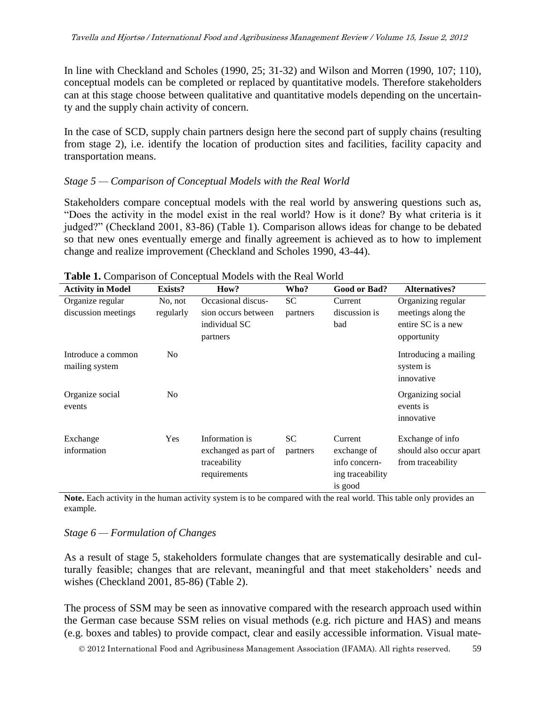In line with Checkland and Scholes (1990, 25; 31-32) and Wilson and Morren (1990, 107; 110), conceptual models can be completed or replaced by quantitative models. Therefore stakeholders can at this stage choose between qualitative and quantitative models depending on the uncertainty and the supply chain activity of concern.

In the case of SCD, supply chain partners design here the second part of supply chains (resulting from stage 2), i.e. identify the location of production sites and facilities, facility capacity and transportation means.

#### *Stage 5 — Comparison of Conceptual Models with the Real World*

Stakeholders compare conceptual models with the real world by answering questions such as, "Does the activity in the model exist in the real world? How is it done? By what criteria is it judged?" (Checkland 2001, 83-86) (Table 1). Comparison allows ideas for change to be debated so that new ones eventually emerge and finally agreement is achieved as to how to implement change and realize improvement (Checkland and Scholes 1990, 43-44).

| <b>Activity in Model</b>             | Exists?        | How?                                                                   | Who?                  | Good or Bad?                                                           | <b>Alternatives?</b>                                             |
|--------------------------------------|----------------|------------------------------------------------------------------------|-----------------------|------------------------------------------------------------------------|------------------------------------------------------------------|
| Organize regular                     | No, not        | Occasional discus-                                                     | <b>SC</b>             | Current                                                                | Organizing regular                                               |
| discussion meetings                  | regularly      | sion occurs between<br>individual SC<br>partners                       | partners              | discussion is<br>bad                                                   | meetings along the<br>entire SC is a new<br>opportunity          |
| Introduce a common<br>mailing system | No.            |                                                                        |                       |                                                                        | Introducing a mailing<br>system is<br>innovative                 |
| Organize social<br>events            | N <sub>o</sub> |                                                                        |                       |                                                                        | Organizing social<br>events is<br>innovative                     |
| Exchange<br>information              | Yes            | Information is<br>exchanged as part of<br>traceability<br>requirements | <b>SC</b><br>partners | Current<br>exchange of<br>info concern-<br>ing traceability<br>is good | Exchange of info<br>should also occur apart<br>from traceability |

#### **Table 1.** Comparison of Conceptual Models with the Real World

**Note.** Each activity in the human activity system is to be compared with the real world. This table only provides an example.

#### *Stage 6 — Formulation of Changes*

As a result of stage 5, stakeholders formulate changes that are systematically desirable and culturally feasible; changes that are relevant, meaningful and that meet stakeholders' needs and wishes (Checkland 2001, 85-86) (Table 2).

The process of SSM may be seen as innovative compared with the research approach used within the German case because SSM relies on visual methods (e.g. rich picture and HAS) and means (e.g. boxes and tables) to provide compact, clear and easily accessible information. Visual mate-

2012 International Food and Agribusiness Management Association (IFAMA). All rights reserved. 59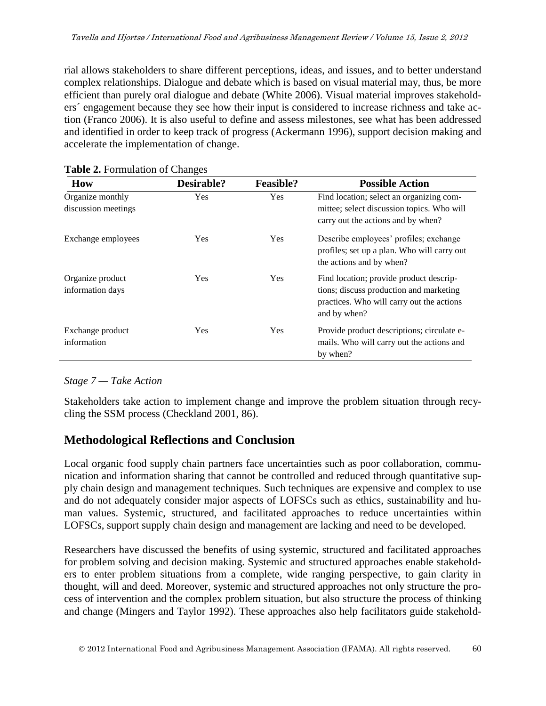rial allows stakeholders to share different perceptions, ideas, and issues, and to better understand complex relationships. Dialogue and debate which is based on visual material may, thus, be more efficient than purely oral dialogue and debate (White 2006). Visual material improves stakeholders´ engagement because they see how their input is considered to increase richness and take action (Franco 2006). It is also useful to define and assess milestones, see what has been addressed and identified in order to keep track of progress (Ackermann 1996), support decision making and accelerate the implementation of change.

| <b>How</b>                              | Desirable? | <b>Feasible?</b> | <b>Possible Action</b>                                                                                                                          |
|-----------------------------------------|------------|------------------|-------------------------------------------------------------------------------------------------------------------------------------------------|
| Organize monthly<br>discussion meetings | Yes        | Yes              | Find location; select an organizing com-<br>mittee; select discussion topics. Who will<br>carry out the actions and by when?                    |
| Exchange employees                      | <b>Yes</b> | Yes              | Describe employees' profiles; exchange<br>profiles; set up a plan. Who will carry out<br>the actions and by when?                               |
| Organize product<br>information days    | <b>Yes</b> | <b>Yes</b>       | Find location; provide product descrip-<br>tions; discuss production and marketing<br>practices. Who will carry out the actions<br>and by when? |
| Exchange product<br>information         | Yes        | Yes              | Provide product descriptions; circulate e-<br>mails. Who will carry out the actions and<br>by when?                                             |

#### **Table 2.** Formulation of Changes

#### *Stage 7 — Take Action*

Stakeholders take action to implement change and improve the problem situation through recycling the SSM process (Checkland 2001, 86).

# **Methodological Reflections and Conclusion**

Local organic food supply chain partners face uncertainties such as poor collaboration, communication and information sharing that cannot be controlled and reduced through quantitative supply chain design and management techniques. Such techniques are expensive and complex to use and do not adequately consider major aspects of LOFSCs such as ethics, sustainability and human values. Systemic, structured, and facilitated approaches to reduce uncertainties within LOFSCs, support supply chain design and management are lacking and need to be developed.

Researchers have discussed the benefits of using systemic, structured and facilitated approaches for problem solving and decision making. Systemic and structured approaches enable stakeholders to enter problem situations from a complete, wide ranging perspective, to gain clarity in thought, will and deed. Moreover, systemic and structured approaches not only structure the process of intervention and the complex problem situation, but also structure the process of thinking and change (Mingers and Taylor 1992). These approaches also help facilitators guide stakehold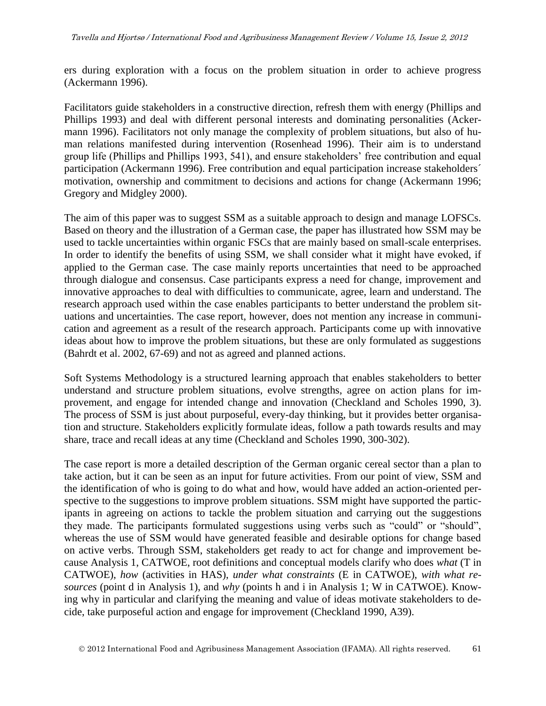ers during exploration with a focus on the problem situation in order to achieve progress (Ackermann 1996).

Facilitators guide stakeholders in a constructive direction, refresh them with energy (Phillips and Phillips 1993) and deal with different personal interests and dominating personalities (Ackermann 1996). Facilitators not only manage the complexity of problem situations, but also of human relations manifested during intervention (Rosenhead 1996). Their aim is to understand group life (Phillips and Phillips 1993, 541), and ensure stakeholders' free contribution and equal participation (Ackermann 1996). Free contribution and equal participation increase stakeholders´ motivation, ownership and commitment to decisions and actions for change (Ackermann 1996; Gregory and Midgley 2000).

The aim of this paper was to suggest SSM as a suitable approach to design and manage LOFSCs. Based on theory and the illustration of a German case, the paper has illustrated how SSM may be used to tackle uncertainties within organic FSCs that are mainly based on small-scale enterprises. In order to identify the benefits of using SSM, we shall consider what it might have evoked, if applied to the German case. The case mainly reports uncertainties that need to be approached through dialogue and consensus. Case participants express a need for change, improvement and innovative approaches to deal with difficulties to communicate, agree, learn and understand. The research approach used within the case enables participants to better understand the problem situations and uncertainties. The case report, however, does not mention any increase in communication and agreement as a result of the research approach. Participants come up with innovative ideas about how to improve the problem situations, but these are only formulated as suggestions (Bahrdt et al. 2002, 67-69) and not as agreed and planned actions.

Soft Systems Methodology is a structured learning approach that enables stakeholders to better understand and structure problem situations, evolve strengths, agree on action plans for improvement, and engage for intended change and innovation (Checkland and Scholes 1990, 3). The process of SSM is just about purposeful, every-day thinking, but it provides better organisation and structure. Stakeholders explicitly formulate ideas, follow a path towards results and may share, trace and recall ideas at any time (Checkland and Scholes 1990, 300-302).

The case report is more a detailed description of the German organic cereal sector than a plan to take action, but it can be seen as an input for future activities. From our point of view, SSM and the identification of who is going to do what and how, would have added an action-oriented perspective to the suggestions to improve problem situations. SSM might have supported the participants in agreeing on actions to tackle the problem situation and carrying out the suggestions they made. The participants formulated suggestions using verbs such as "could" or "should", whereas the use of SSM would have generated feasible and desirable options for change based on active verbs. Through SSM, stakeholders get ready to act for change and improvement because Analysis 1, CATWOE, root definitions and conceptual models clarify who does *what* (T in CATWOE), *how* (activities in HAS), *under what constraints* (E in CATWOE), *with what resources* (point d in Analysis 1), and *why* (points h and i in Analysis 1; W in CATWOE). Knowing why in particular and clarifying the meaning and value of ideas motivate stakeholders to decide, take purposeful action and engage for improvement (Checkland 1990, A39).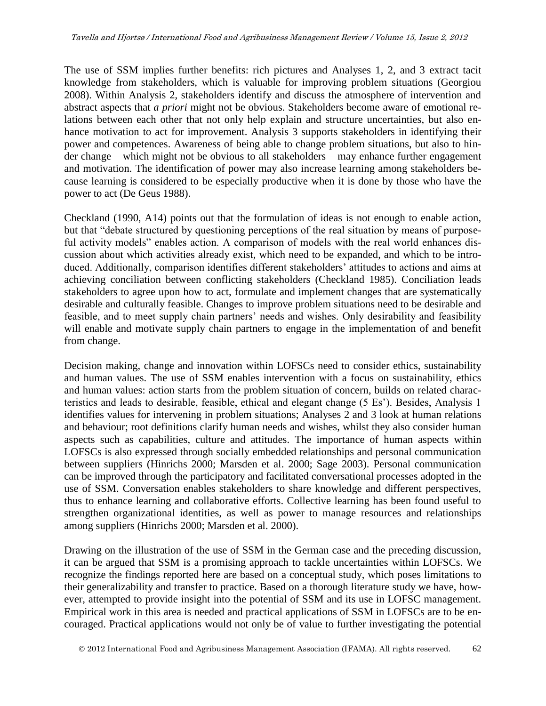The use of SSM implies further benefits: rich pictures and Analyses 1, 2, and 3 extract tacit knowledge from stakeholders, which is valuable for improving problem situations (Georgiou 2008). Within Analysis 2, stakeholders identify and discuss the atmosphere of intervention and abstract aspects that *a priori* might not be obvious. Stakeholders become aware of emotional relations between each other that not only help explain and structure uncertainties, but also enhance motivation to act for improvement. Analysis 3 supports stakeholders in identifying their power and competences. Awareness of being able to change problem situations, but also to hinder change – which might not be obvious to all stakeholders – may enhance further engagement and motivation. The identification of power may also increase learning among stakeholders because learning is considered to be especially productive when it is done by those who have the power to act (De Geus 1988).

Checkland (1990, A14) points out that the formulation of ideas is not enough to enable action, but that "debate structured by questioning perceptions of the real situation by means of purposeful activity models" enables action. A comparison of models with the real world enhances discussion about which activities already exist, which need to be expanded, and which to be introduced. Additionally, comparison identifies different stakeholders' attitudes to actions and aims at achieving conciliation between conflicting stakeholders (Checkland 1985). Conciliation leads stakeholders to agree upon how to act, formulate and implement changes that are systematically desirable and culturally feasible. Changes to improve problem situations need to be desirable and feasible, and to meet supply chain partners' needs and wishes. Only desirability and feasibility will enable and motivate supply chain partners to engage in the implementation of and benefit from change.

Decision making, change and innovation within LOFSCs need to consider ethics, sustainability and human values. The use of SSM enables intervention with a focus on sustainability, ethics and human values: action starts from the problem situation of concern, builds on related characteristics and leads to desirable, feasible, ethical and elegant change (5 Es'). Besides, Analysis 1 identifies values for intervening in problem situations; Analyses 2 and 3 look at human relations and behaviour; root definitions clarify human needs and wishes, whilst they also consider human aspects such as capabilities, culture and attitudes. The importance of human aspects within LOFSCs is also expressed through socially embedded relationships and personal communication between suppliers (Hinrichs 2000; Marsden et al. 2000; Sage 2003). Personal communication can be improved through the participatory and facilitated conversational processes adopted in the use of SSM. Conversation enables stakeholders to share knowledge and different perspectives, thus to enhance learning and collaborative efforts. Collective learning has been found useful to strengthen organizational identities, as well as power to manage resources and relationships among suppliers (Hinrichs 2000; Marsden et al. 2000).

Drawing on the illustration of the use of SSM in the German case and the preceding discussion, it can be argued that SSM is a promising approach to tackle uncertainties within LOFSCs. We recognize the findings reported here are based on a conceptual study, which poses limitations to their generalizability and transfer to practice. Based on a thorough literature study we have, however, attempted to provide insight into the potential of SSM and its use in LOFSC management. Empirical work in this area is needed and practical applications of SSM in LOFSCs are to be encouraged. Practical applications would not only be of value to further investigating the potential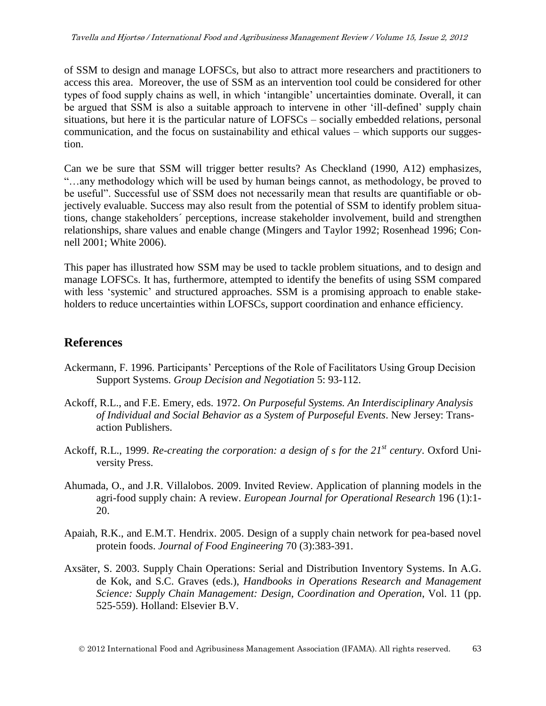of SSM to design and manage LOFSCs, but also to attract more researchers and practitioners to access this area. Moreover, the use of SSM as an intervention tool could be considered for other types of food supply chains as well, in which 'intangible' uncertainties dominate. Overall, it can be argued that SSM is also a suitable approach to intervene in other 'ill-defined' supply chain situations, but here it is the particular nature of LOFSCs – socially embedded relations, personal communication, and the focus on sustainability and ethical values – which supports our suggestion.

Can we be sure that SSM will trigger better results? As Checkland (1990, A12) emphasizes, "…any methodology which will be used by human beings cannot, as methodology, be proved to be useful". Successful use of SSM does not necessarily mean that results are quantifiable or objectively evaluable. Success may also result from the potential of SSM to identify problem situations, change stakeholders´ perceptions, increase stakeholder involvement, build and strengthen relationships, share values and enable change (Mingers and Taylor 1992; Rosenhead 1996; Connell 2001; White 2006).

This paper has illustrated how SSM may be used to tackle problem situations, and to design and manage LOFSCs. It has, furthermore, attempted to identify the benefits of using SSM compared with less 'systemic' and structured approaches. SSM is a promising approach to enable stakeholders to reduce uncertainties within LOFSCs, support coordination and enhance efficiency.

# **References**

- Ackermann, F. 1996. Participants' Perceptions of the Role of Facilitators Using Group Decision Support Systems. *Group Decision and Negotiation* 5: 93-112.
- Ackoff, R.L., and F.E. Emery, eds. 1972. *On Purposeful Systems. An Interdisciplinary Analysis of Individual and Social Behavior as a System of Purposeful Events*. New Jersey: Transaction Publishers.
- Ackoff, R.L., 1999. *Re-creating the corporation: a design of s for the 21st century*. Oxford University Press.
- Ahumada, O., and J.R. Villalobos. 2009. Invited Review. Application of planning models in the agri-food supply chain: A review. *European Journal for Operational Research* 196 (1):1- 20.
- Apaiah, R.K., and E.M.T. Hendrix. 2005. Design of a supply chain network for pea-based novel protein foods. *Journal of Food Engineering* 70 (3):383-391.
- Axsäter, S. 2003. Supply Chain Operations: Serial and Distribution Inventory Systems. In A.G. de Kok, and S.C. Graves (eds.), *Handbooks in Operations Research and Management Science: Supply Chain Management: Design, Coordination and Operation*, Vol. 11 (pp. 525-559). Holland: Elsevier B.V.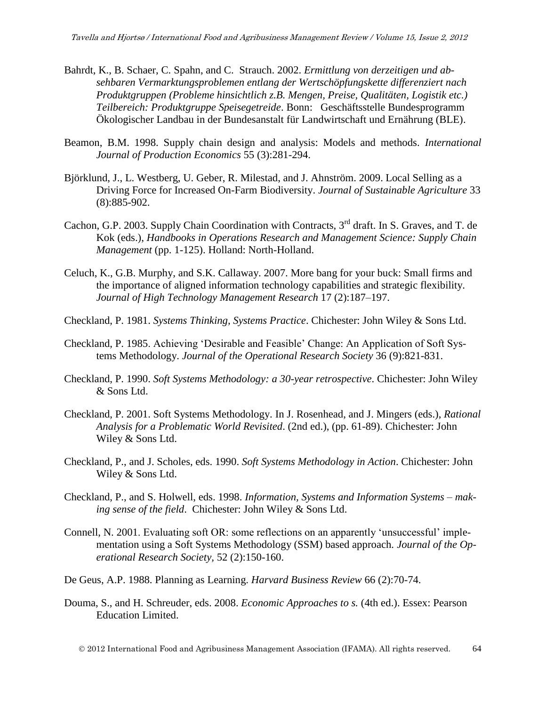- Bahrdt, K., B. Schaer, C. Spahn, and C. Strauch. 2002. *Ermittlung von derzeitigen und absehbaren Vermarktungsproblemen entlang der Wertschöpfungskette differenziert nach Produktgruppen (Probleme hinsichtlich z.B. Mengen, Preise, Qualitäten, Logistik etc.) Teilbereich: Produktgruppe Speisegetreide*. Bonn: Geschäftsstelle Bundesprogramm Ökologischer Landbau in der Bundesanstalt für Landwirtschaft und Ernährung (BLE).
- Beamon, B.M. 1998. Supply chain design and analysis: Models and methods. *International Journal of Production Economics* 55 (3):281-294.
- Björklund, J., L. Westberg, U. Geber, R. Milestad, and J. Ahnström. 2009. Local Selling as a Driving Force for Increased On-Farm Biodiversity. *Journal of Sustainable Agriculture* 33 (8):885-902.
- Cachon, G.P. 2003. Supply Chain Coordination with Contracts, 3<sup>rd</sup> draft. In S. Graves, and T. de Kok (eds.), *Handbooks in Operations Research and Management Science: Supply Chain Management* (pp. 1-125). Holland: North-Holland.
- Celuch, K., G.B. Murphy, and S.K. Callaway. 2007. More bang for your buck: Small firms and the importance of aligned information technology capabilities and strategic flexibility. *Journal of High Technology Management Research* 17 (2):187–197.
- Checkland, P. 1981. *Systems Thinking, Systems Practice*. Chichester: John Wiley & Sons Ltd.
- Checkland, P. 1985. Achieving 'Desirable and Feasible' Change: An Application of Soft Systems Methodology. *Journal of the Operational Research Society* 36 (9):821-831.
- Checkland, P. 1990. *Soft Systems Methodology: a 30-year retrospective*. Chichester: John Wiley & Sons Ltd.
- Checkland, P. 2001. Soft Systems Methodology. In J. Rosenhead, and J. Mingers (eds.), *Rational Analysis for a Problematic World Revisited*. (2nd ed.), (pp. 61-89). Chichester: John Wiley & Sons Ltd.
- Checkland, P., and J. Scholes, eds. 1990. *Soft Systems Methodology in Action*. Chichester: John Wiley & Sons Ltd.
- Checkland, P., and S. Holwell, eds. 1998. *Information, Systems and Information Systems – making sense of the field*. Chichester: John Wiley & Sons Ltd.
- Connell, N. 2001. Evaluating soft OR: some reflections on an apparently 'unsuccessful' implementation using a Soft Systems Methodology (SSM) based approach. *Journal of the Operational Research Society,* 52 (2):150-160.
- De Geus, A.P. 1988. Planning as Learning. *Harvard Business Review* 66 (2):70-74.
- Douma, S., and H. Schreuder, eds. 2008. *Economic Approaches to s.* (4th ed.). Essex: Pearson Education Limited.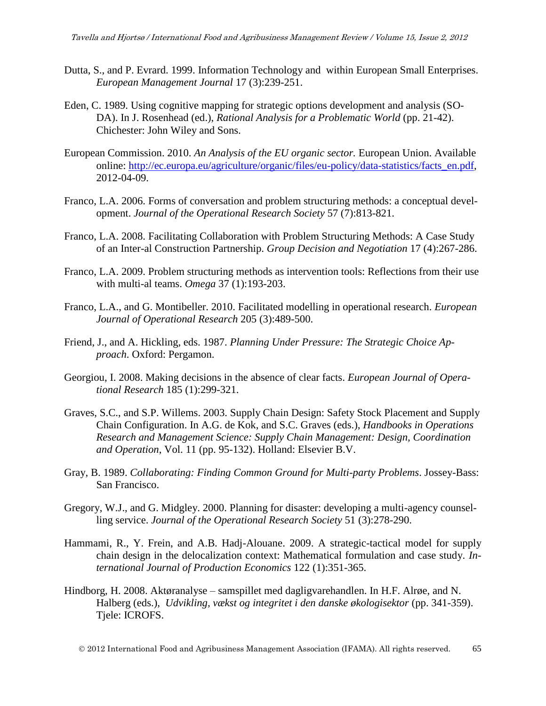- Dutta, S., and P. Evrard. 1999. Information Technology and within European Small Enterprises. *European Management Journal* 17 (3):239-251.
- Eden, C. 1989. Using cognitive mapping for strategic options development and analysis (SO-DA). In J. Rosenhead (ed.), *Rational Analysis for a Problematic World* (pp. 21-42). Chichester: John Wiley and Sons.
- European Commission. 2010. *An Analysis of the EU organic sector.* European Union. Available online: [http://ec.europa.eu/agriculture/organic/files/eu-policy/data-statistics/facts\\_en.pdf,](http://ec.europa.eu/agriculture/organic/files/eu-policy/data-statistics/facts_en.pdf) 2012-04-09.
- Franco, L.A. 2006. Forms of conversation and problem structuring methods: a conceptual development. *Journal of the Operational Research Society* 57 (7):813-821.
- Franco, L.A. 2008. Facilitating Collaboration with Problem Structuring Methods: A Case Study of an Inter-al Construction Partnership. *Group Decision and Negotiation* 17 (4):267-286.
- Franco, L.A. 2009. Problem structuring methods as intervention tools: Reflections from their use with multi-al teams. *Omega* 37 (1):193-203.
- Franco, L.A., and G. Montibeller. 2010. Facilitated modelling in operational research. *European Journal of Operational Research* 205 (3):489-500.
- Friend, J., and A. Hickling, eds. 1987. *Planning Under Pressure: The Strategic Choice Approach*. Oxford: Pergamon.
- Georgiou, I. 2008. Making decisions in the absence of clear facts. *European Journal of Operational Research* 185 (1):299-321.
- Graves, S.C., and S.P. Willems. 2003. Supply Chain Design: Safety Stock Placement and Supply Chain Configuration. In A.G. de Kok, and S.C. Graves (eds.), *Handbooks in Operations Research and Management Science: Supply Chain Management: Design, Coordination and Operation*, Vol. 11 (pp. 95-132). Holland: Elsevier B.V.
- Gray, B. 1989. *Collaborating: Finding Common Ground for Multi-party Problems*. Jossey-Bass: San Francisco.
- Gregory, W.J., and G. Midgley. 2000. Planning for disaster: developing a multi-agency counselling service. *Journal of the Operational Research Society* 51 (3):278-290.
- Hammami, R., Y. Frein, and A.B. Hadj-Alouane. 2009. A strategic-tactical model for supply chain design in the delocalization context: Mathematical formulation and case study. *International Journal of Production Economics* 122 (1):351-365.
- Hindborg, H. 2008. Aktøranalyse samspillet med dagligvarehandlen. In H.F. Alrøe, and N. Halberg (eds.), *Udvikling, vækst og integritet i den danske økologisektor* (pp. 341-359). Tjele: ICROFS.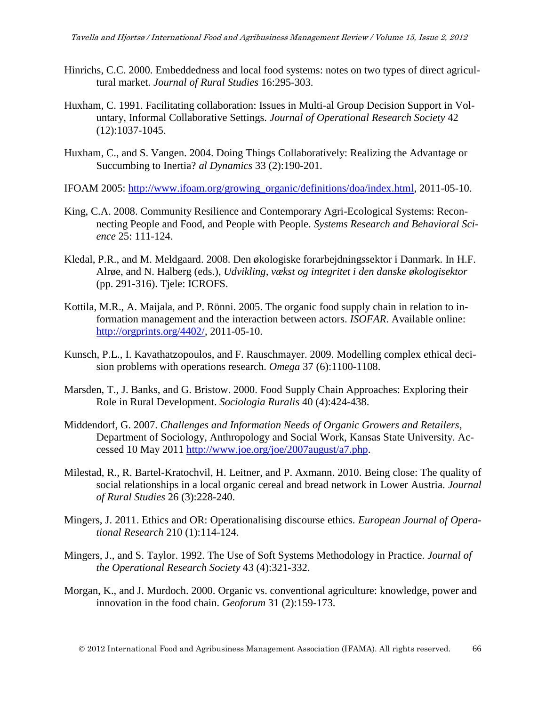- Hinrichs, C.C. 2000. Embeddedness and local food systems: notes on two types of direct agricultural market. *Journal of Rural Studies* 16:295-303.
- Huxham, C. 1991. Facilitating collaboration: Issues in Multi-al Group Decision Support in Voluntary, Informal Collaborative Settings. *Journal of Operational Research Society* 42 (12):1037-1045.
- Huxham, C., and S. Vangen. 2004. Doing Things Collaboratively: Realizing the Advantage or Succumbing to Inertia? *al Dynamics* 33 (2):190-201.
- IFOAM 2005: [http://www.ifoam.org/growing\\_organic/definitions/doa/index.html,](http://www.ifoam.org/growing_organic/definitions/doa/index.html) 2011-05-10.
- King, C.A. 2008. Community Resilience and Contemporary Agri-Ecological Systems: Reconnecting People and Food, and People with People. *Systems Research and Behavioral Science* 25: 111-124.
- Kledal, P.R., and M. Meldgaard. 2008. Den økologiske forarbejdningssektor i Danmark. In H.F. Alrøe, and N. Halberg (eds.), *Udvikling, vækst og integritet i den danske økologisektor* (pp. 291-316). Tjele: ICROFS.
- Kottila, M.R., A. Maijala, and P. Rönni. 2005. The organic food supply chain in relation to information management and the interaction between actors. *ISOFAR*. Available online: [http://orgprints.org/4402/,](http://orgprints.org/4402/) 2011-05-10.
- Kunsch, P.L., I. Kavathatzopoulos, and F. Rauschmayer. 2009. Modelling complex ethical decision problems with operations research. *Omega* 37 (6):1100-1108.
- Marsden, T., J. Banks, and G. Bristow. 2000. Food Supply Chain Approaches: Exploring their Role in Rural Development. *Sociologia Ruralis* 40 (4):424-438.
- Middendorf, G. 2007. *Challenges and Information Needs of Organic Growers and Retailers*, Department of Sociology, Anthropology and Social Work, Kansas State University. Accessed 10 May 2011 [http://www.joe.org/joe/2007august/a7.php.](http://www.joe.org/joe/2007august/a7.php)
- Milestad, R., R. Bartel-Kratochvil, H. Leitner, and P. Axmann. 2010. Being close: The quality of social relationships in a local organic cereal and bread network in Lower Austria. *Journal of Rural Studies* 26 (3):228-240.
- Mingers, J. 2011. Ethics and OR: Operationalising discourse ethics. *European Journal of Operational Research* 210 (1):114-124.
- Mingers, J., and S. Taylor. 1992. The Use of Soft Systems Methodology in Practice. *Journal of the Operational Research Society* 43 (4):321-332.
- Morgan, K., and J. Murdoch. 2000. Organic vs. conventional agriculture: knowledge, power and innovation in the food chain. *Geoforum* 31 (2):159-173.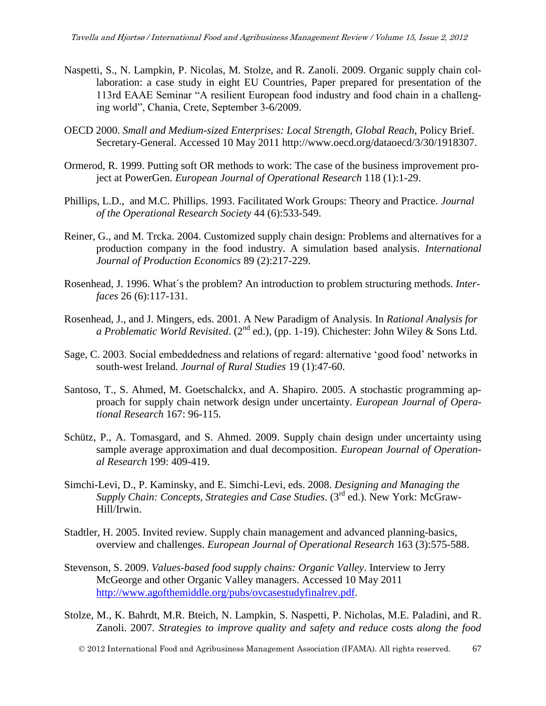- Naspetti, S., N. Lampkin, P. Nicolas, M. Stolze, and R. Zanoli. 2009. Organic supply chain collaboration: a case study in eight EU Countries, Paper prepared for presentation of the 113rd EAAE Seminar "A resilient European food industry and food chain in a challenging world", Chania, Crete, September 3-6/2009.
- OECD 2000. *Small and Medium-sized Enterprises: Local Strength, Global Reach,* Policy Brief. Secretary-General. Accessed 10 May 2011 http://www.oecd.org/dataoecd/3/30/1918307.
- Ormerod, R. 1999. Putting soft OR methods to work: The case of the business improvement project at PowerGen. *European Journal of Operational Research* 118 (1):1-29.
- Phillips, L.D., and M.C. Phillips. 1993. Facilitated Work Groups: Theory and Practice. *Journal of the Operational Research Society* 44 (6):533-549.
- Reiner, G., and M. Trcka. 2004. Customized supply chain design: Problems and alternatives for a production company in the food industry. A simulation based analysis. *International Journal of Production Economics* 89 (2):217-229.
- Rosenhead, J. 1996. What´s the problem? An introduction to problem structuring methods. *Interfaces* 26 (6):117-131.
- Rosenhead, J., and J. Mingers, eds. 2001. A New Paradigm of Analysis. In *Rational Analysis for a Problematic World Revisited.* (2<sup>nd</sup> ed.), (pp. 1-19). Chichester: John Wiley & Sons Ltd.
- Sage, C. 2003. Social embeddedness and relations of regard: alternative 'good food' networks in south-west Ireland. *Journal of Rural Studies* 19 (1):47-60.
- Santoso, T., S. Ahmed, M. Goetschalckx, and A. Shapiro. 2005. A stochastic programming approach for supply chain network design under uncertainty. *European Journal of Operational Research* 167: 96-115.
- Schütz, P., A. Tomasgard, and S. Ahmed. 2009. Supply chain design under uncertainty using sample average approximation and dual decomposition. *European Journal of Operational Research* 199: 409-419.
- Simchi-Levi, D., P. Kaminsky, and E. Simchi-Levi, eds. 2008. *Designing and Managing the Supply Chain: Concepts, Strategies and Case Studies*. (3rd ed.). New York: McGraw-Hill/Irwin.
- Stadtler, H. 2005. Invited review. Supply chain management and advanced planning-basics, overview and challenges. *European Journal of Operational Research* 163 (3):575-588.
- Stevenson, S. 2009. *Values-based food supply chains: Organic Valley*. Interview to Jerry McGeorge and other Organic Valley managers. Accessed 10 May 2011 [http://www.agofthemiddle.org/pubs/ovcasestudyfinalrev.pdf.](http://www.agofthemiddle.org/pubs/ovcasestudyfinalrev.pdf)
- Stolze, M., K. Bahrdt, M.R. Bteich, N. Lampkin, S. Naspetti, P. Nicholas, M.E. Paladini, and R. Zanoli. 2007. *Strategies to improve quality and safety and reduce costs along the food*